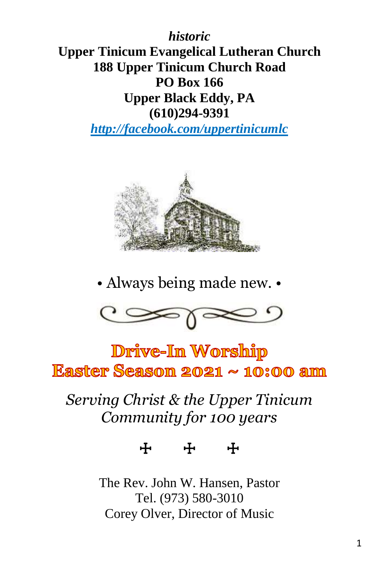*historic* **Upper Tinicum Evangelical Lutheran Church 188 Upper Tinicum Church Road PO Box 166 Upper Black Eddy, PA (610)294-9391**

*http://facebook.com/uppertinicumlc*



• Always being made new. •



Drive-In Worship Easter Season  $2021 \sim 10:00$  am

## *Serving Christ & the Upper Tinicum Community for 100 years*

☩ ☩ ☩

The Rev. John W. Hansen, Pastor Tel. (973) 580-3010 Corey Olver, Director of Music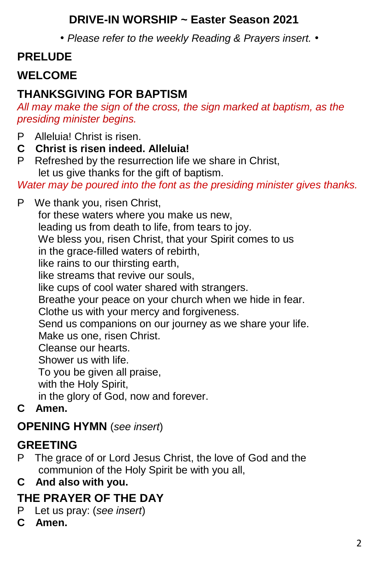#### **DRIVE-IN WORSHIP ~ Easter Season 2021**

*• Please refer to the weekly Reading & Prayers insert. •*

## **PRELUDE**

## **WELCOME**

#### **THANKSGIVING FOR BAPTISM**

*All may make the sign of the cross, the sign marked at baptism, as the presiding minister begins.*

- P Alleluia! Christ is risen.
- **C Christ is risen indeed. Alleluia!**
- P Refreshed by the resurrection life we share in Christ. let us give thanks for the gift of baptism.

*Water may be poured into the font as the presiding minister gives thanks.*

P We thank you, risen Christ, for these waters where you make us new, leading us from death to life, from tears to joy. We bless you, risen Christ, that your Spirit comes to us in the grace-filled waters of rebirth, like rains to our thirsting earth, like streams that revive our souls, like cups of cool water shared with strangers. Breathe your peace on your church when we hide in fear. Clothe us with your mercy and forgiveness. Send us companions on our journey as we share your life. Make us one, risen Christ. Cleanse our hearts. Shower us with life. To you be given all praise, with the Holy Spirit, in the glory of God, now and forever. **C Amen.**

#### **OPENING HYMN** (*see insert*)

#### **GREETING**

- P The grace of or Lord Jesus Christ, the love of God and the communion of the Holy Spirit be with you all,
- **C And also with you.**

## **THE PRAYER OF THE DAY**

- P Let us pray: (*see insert*)
- **C Amen.**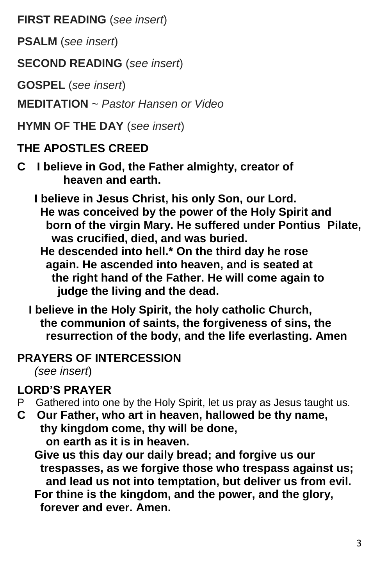**FIRST READING** (*see insert*)

**PSALM** (*see insert*)

**SECOND READING** (*see insert*)

**GOSPEL** (*see insert*)

**MEDITATION** ~ *Pastor Hansen or Video*

**HYMN OF THE DAY** (*see insert*)

#### **THE APOSTLES CREED**

- **C I believe in God, the Father almighty, creator of heaven and earth.**
	- **I believe in Jesus Christ, his only Son, our Lord. He was conceived by the power of the Holy Spirit and born of the virgin Mary. He suffered under Pontius Pilate, was crucified, died, and was buried.**
		- **He descended into hell.\* On the third day he rose again. He ascended into heaven, and is seated at the right hand of the Father. He will come again to judge the living and the dead.**
	- **I believe in the Holy Spirit, the holy catholic Church, the communion of saints, the forgiveness of sins, the resurrection of the body, and the life everlasting. Amen**

#### **PRAYERS OF INTERCESSION**

*(see insert*)

## **LORD'S PRAYER**

- P Gathered into one by the Holy Spirit, let us pray as Jesus taught us.
- **C Our Father, who art in heaven, hallowed be thy name, thy kingdom come, thy will be done, on earth as it is in heaven.**

 **Give us this day our daily bread; and forgive us our trespasses, as we forgive those who trespass against us; and lead us not into temptation, but deliver us from evil. For thine is the kingdom, and the power, and the glory,**

 **forever and ever. Amen.**